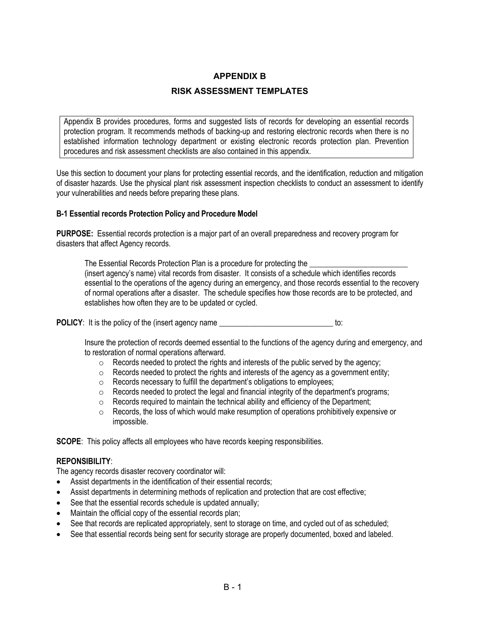## **APPENDIX B**

## **RISK ASSESSMENT TEMPLATES**

Appendix B provides procedures, forms and suggested lists of records for developing an essential records protection program. It recommends methods of backing-up and restoring electronic records when there is no established information technology department or existing electronic records protection plan. Prevention procedures and risk assessment checklists are also contained in this appendix.

Use this section to document your plans for protecting essential records, and the identification, reduction and mitigation of disaster hazards. Use the physical plant risk assessment inspection checklists to conduct an assessment to identify your vulnerabilities and needs before preparing these plans.

### **B-1 Essential records Protection Policy and Procedure Model**

**PURPOSE:** Essential records protection is a major part of an overall preparedness and recovery program for disasters that affect Agency records.

The Essential Records Protection Plan is a procedure for protecting the (insert agency's name) vital records from disaster. It consists of a schedule which identifies records essential to the operations of the agency during an emergency, and those records essential to the recovery of normal operations after a disaster. The schedule specifies how those records are to be protected, and establishes how often they are to be updated or cycled.

**POLICY:** It is the policy of the (insert agency name  $\frac{1}{2}$ 

Insure the protection of records deemed essential to the functions of the agency during and emergency, and to restoration of normal operations afterward.

- $\circ$  Records needed to protect the rights and interests of the public served by the agency;
- $\circ$  Records needed to protect the rights and interests of the agency as a government entity;
- o Records necessary to fulfill the department's obligations to employees;
- o Records needed to protect the legal and financial integrity of the department's programs;
- o Records required to maintain the technical ability and efficiency of the Department;
- o Records, the loss of which would make resumption of operations prohibitively expensive or impossible.

**SCOPE:** This policy affects all employees who have records keeping responsibilities.

### **REPONSIBILITY**:

The agency records disaster recovery coordinator will:

- Assist departments in the identification of their essential records;
- Assist departments in determining methods of replication and protection that are cost effective;
- See that the essential records schedule is updated annually;
- Maintain the official copy of the essential records plan;
- See that records are replicated appropriately, sent to storage on time, and cycled out of as scheduled;
- See that essential records being sent for security storage are properly documented, boxed and labeled.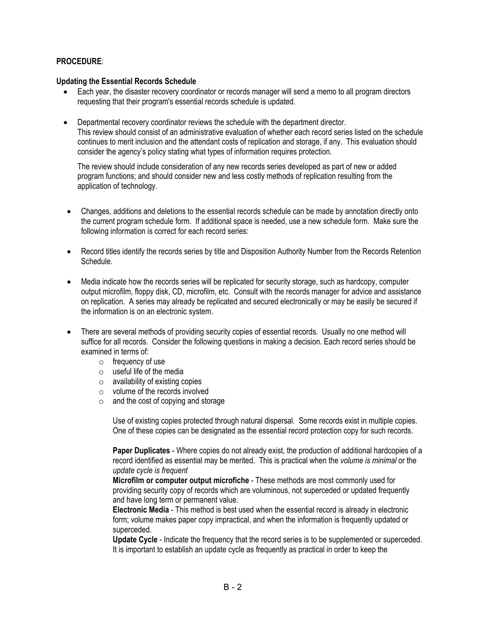## **PROCEDURE**:

### **Updating the Essential Records Schedule**

- Each year, the disaster recovery coordinator or records manager will send a memo to all program directors requesting that their program's essential records schedule is updated.
- Departmental recovery coordinator reviews the schedule with the department director. This review should consist of an administrative evaluation of whether each record series listed on the schedule continues to merit inclusion and the attendant costs of replication and storage, if any. This evaluation should consider the agency's policy stating what types of information requires protection.

The review should include consideration of any new records series developed as part of new or added program functions; and should consider new and less costly methods of replication resulting from the application of technology.

- Changes, additions and deletions to the essential records schedule can be made by annotation directly onto the current program schedule form. If additional space is needed, use a new schedule form. Make sure the following information is correct for each record series:
- Record titles identify the records series by title and Disposition Authority Number from the Records Retention Schedule.
- Media indicate how the records series will be replicated for security storage, such as hardcopy, computer output microfilm, floppy disk, CD, microfilm, etc. Consult with the records manager for advice and assistance on replication. A series may already be replicated and secured electronically or may be easily be secured if the information is on an electronic system.
- There are several methods of providing security copies of essential records. Usually no one method will suffice for all records. Consider the following questions in making a decision. Each record series should be examined in terms of:
	- $\circ$  frequency of use
	- o useful life of the media
	- $\circ$  availability of existing copies
	- o volume of the records involved
	- $\circ$  and the cost of copying and storage

Use of existing copies protected through natural dispersal. Some records exist in multiple copies. One of these copies can be designated as the essential record protection copy for such records.

**Paper Duplicates** - Where copies do not already exist, the production of additional hardcopies of a record identified as essential may be merited. This is practical when the *volume is minimal* or the *update cycle is frequent* 

**Microfilm or computer output microfiche** - These methods are most commonly used for providing security copy of records which are voluminous, not superceded or updated frequently and have long term or permanent value.

**Electronic Media** - This method is best used when the essential record is already in electronic form; volume makes paper copy impractical, and when the information is frequently updated or superceded.

**Update Cycle** - Indicate the frequency that the record series is to be supplemented or superceded. It is important to establish an update cycle as frequently as practical in order to keep the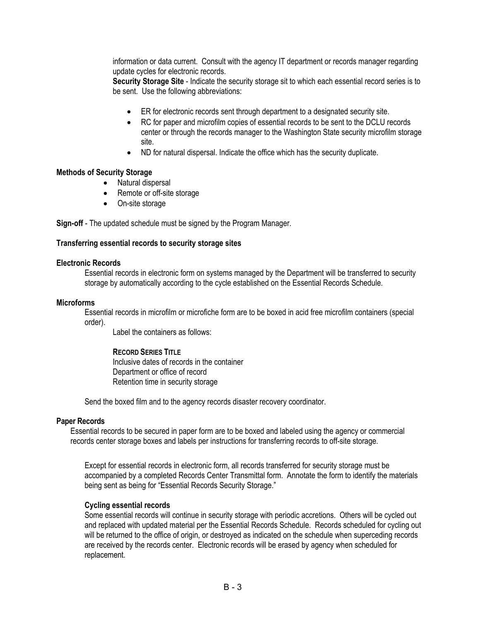information or data current. Consult with the agency IT department or records manager regarding update cycles for electronic records.

**Security Storage Site** - Indicate the security storage sit to which each essential record series is to be sent. Use the following abbreviations:

- ER for electronic records sent through department to a designated security site.
- RC for paper and microfilm copies of essential records to be sent to the DCLU records center or through the records manager to the Washington State security microfilm storage site.
- ND for natural dispersal. Indicate the office which has the security duplicate.

### **Methods of Security Storage**

- Natural dispersal
- Remote or off-site storage
- On-site storage

**Sign-off** - The updated schedule must be signed by the Program Manager.

### **Transferring essential records to security storage sites**

#### **Electronic Records**

Essential records in electronic form on systems managed by the Department will be transferred to security storage by automatically according to the cycle established on the Essential Records Schedule.

### **Microforms**

Essential records in microfilm or microfiche form are to be boxed in acid free microfilm containers (special order).

Label the containers as follows:

### **RECORD SERIES TITLE**

 Inclusive dates of records in the container Department or office of record Retention time in security storage

Send the boxed film and to the agency records disaster recovery coordinator.

### **Paper Records**

Essential records to be secured in paper form are to be boxed and labeled using the agency or commercial records center storage boxes and labels per instructions for transferring records to off-site storage.

Except for essential records in electronic form, all records transferred for security storage must be accompanied by a completed Records Center Transmittal form. Annotate the form to identify the materials being sent as being for "Essential Records Security Storage."

### **Cycling essential records**

Some essential records will continue in security storage with periodic accretions. Others will be cycled out and replaced with updated material per the Essential Records Schedule. Records scheduled for cycling out will be returned to the office of origin, or destroyed as indicated on the schedule when superceding records are received by the records center. Electronic records will be erased by agency when scheduled for replacement.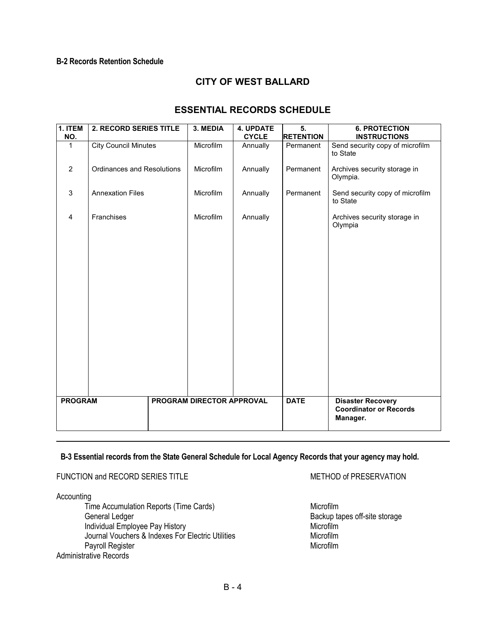## **B-2 Records Retention Schedule**

# **CITY OF WEST BALLARD**

# **ESSENTIAL RECORDS SCHEDULE**

| 1. ITEM<br>NO. | 2. RECORD SERIES TITLE            | 3. MEDIA                  | 4. UPDATE<br><b>CYCLE</b> | 5.<br><b>RETENTION</b> | <b>6. PROTECTION</b><br><b>INSTRUCTIONS</b>                           |
|----------------|-----------------------------------|---------------------------|---------------------------|------------------------|-----------------------------------------------------------------------|
| 1              | <b>City Council Minutes</b>       | Microfilm                 | Annually                  | Permanent              | Send security copy of microfilm<br>to State                           |
| $\overline{2}$ | <b>Ordinances and Resolutions</b> | Microfilm                 | Annually                  | Permanent              | Archives security storage in<br>Olympia.                              |
| 3              | <b>Annexation Files</b>           | Microfilm                 | Annually                  | Permanent              | Send security copy of microfilm<br>to State                           |
| $\overline{4}$ | Franchises                        | Microfilm                 | Annually                  |                        | Archives security storage in<br>Olympia                               |
|                |                                   |                           |                           |                        |                                                                       |
|                |                                   |                           |                           |                        |                                                                       |
|                |                                   |                           |                           |                        |                                                                       |
|                |                                   |                           |                           |                        |                                                                       |
|                |                                   |                           |                           |                        |                                                                       |
|                |                                   |                           |                           |                        |                                                                       |
| <b>PROGRAM</b> |                                   | PROGRAM DIRECTOR APPROVAL |                           | <b>DATE</b>            | <b>Disaster Recovery</b><br><b>Coordinator or Records</b><br>Manager. |

### **B-3 Essential records from the State General Schedule for Local Agency Records that your agency may hold.**

### FUNCTION and RECORD SERIES TITLE **All and Accord Series Series** METHOD of PRESERVATION

**Accounting** 

Time Accumulation Reports (Time Cards) Microfilm General Ledger Backup tapes off-site storage Individual Employee Pay History<br>
Journal Vouchers & Indexes For Electric Utilities<br>
Microfilm Journal Vouchers & Indexes For Electric Utilities<br>
Pavroll Register Microfilm Payroll Register Administrative Records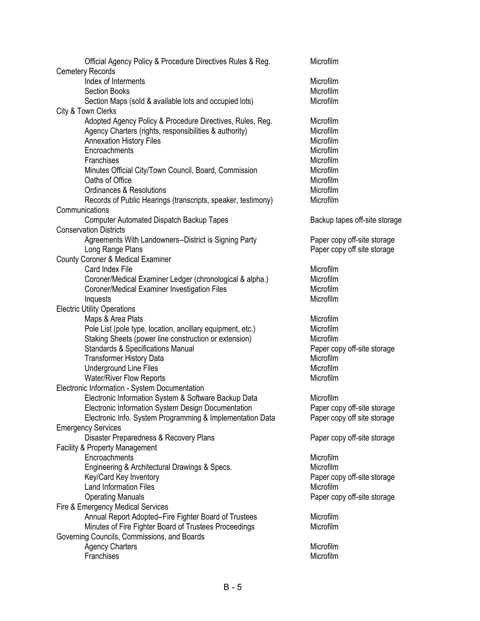| Official Agency Policy & Procedure Directives Rules & Reg.                   | Microfilm                     |
|------------------------------------------------------------------------------|-------------------------------|
| <b>Cemetery Records</b>                                                      |                               |
| Index of Interments                                                          | Microfilm                     |
| <b>Section Books</b>                                                         | Microfilm                     |
| Section Maps (sold & available lots and occupied lots)<br>City & Town Clerks | Microfilm                     |
| Adopted Agency Policy & Procedure Directives, Rules, Reg.                    | Microfilm                     |
| Agency Charters (rights, responsibilities & authority)                       | Microfilm                     |
| <b>Annexation History Files</b>                                              | Microfilm                     |
| Encroachments                                                                | Microfilm                     |
| Franchises                                                                   | Microfilm                     |
| Minutes Official City/Town Council, Board, Commission                        | Microfilm                     |
| Oaths of Office                                                              | Microfilm                     |
| <b>Ordinances &amp; Resolutions</b>                                          | Microfilm                     |
| Records of Public Hearings (transcripts, speaker, testimony)                 | Microfilm                     |
| Communications                                                               |                               |
| <b>Computer Automated Dispatch Backup Tapes</b>                              | Backup tapes off-site storage |
| <b>Conservation Districts</b>                                                |                               |
| Agreements With Landowners--District is Signing Party                        | Paper copy off-site storage   |
| Long Range Plans                                                             | Paper copy off site storage   |
| <b>County Coroner &amp; Medical Examiner</b>                                 |                               |
| Card Index File                                                              | Microfilm                     |
| Coroner/Medical Examiner Ledger (chronological & alpha.)                     | Microfilm                     |
| Coroner/Medical Examiner Investigation Files                                 | Microfilm                     |
| Inquests                                                                     | Microfilm                     |
| <b>Electric Utility Operations</b>                                           |                               |
| Maps & Area Plats                                                            | Microfilm                     |
| Pole List (pole type, location, ancillary equipment, etc.)                   | Microfilm                     |
| Staking Sheets (power line construction or extension)                        | Microfilm                     |
| <b>Standards &amp; Specifications Manual</b>                                 | Paper copy off-site storage   |
| <b>Transformer History Data</b>                                              | Microfilm                     |
| <b>Underground Line Files</b>                                                | Microfilm                     |
| <b>Water/River Flow Reports</b>                                              | Microfilm                     |
| Electronic Information - System Documentation                                |                               |
| Electronic Information System & Software Backup Data                         | Microfilm                     |
| Electronic Information System Design Documentation                           | Paper copy off-site storage   |
| Electronic Info. System Programming & Implementation Data                    | Paper copy off site storage   |
| <b>Emergency Services</b>                                                    |                               |
| Disaster Preparedness & Recovery Plans                                       | Paper copy off-site storage   |
| <b>Facility &amp; Property Management</b>                                    |                               |
| Encroachments                                                                | Microfilm                     |
| Engineering & Architectural Drawings & Specs.                                | Microfilm                     |
| Key/Card Key Inventory                                                       | Paper copy off-site storage   |
| <b>Land Information Files</b>                                                | Microfilm                     |
| <b>Operating Manuals</b>                                                     | Paper copy off-site storage   |
| Fire & Emergency Medical Services                                            |                               |
| Annual Report Adopted--Fire Fighter Board of Trustees                        | Microfilm                     |
| Minutes of Fire Fighter Board of Trustees Proceedings                        | Microfilm                     |
| Governing Councils, Commissions, and Boards                                  |                               |
| <b>Agency Charters</b>                                                       | Microfilm                     |
| Franchises                                                                   | Microfilm                     |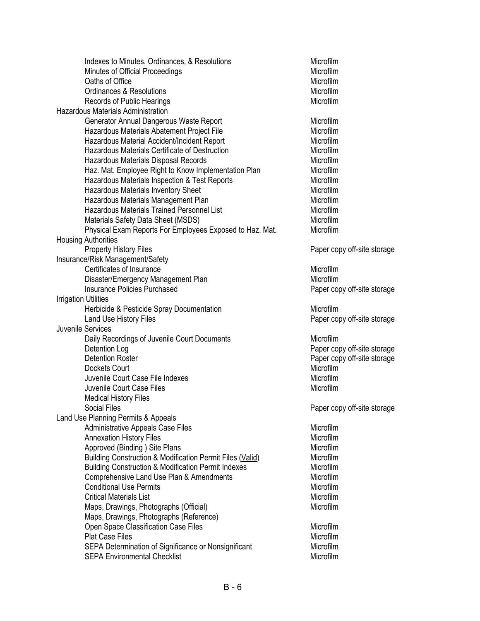| Indexes to Minutes, Ordinances, & Resolutions                             | Microfilm                   |
|---------------------------------------------------------------------------|-----------------------------|
| Minutes of Official Proceedings                                           | Microfilm                   |
| Oaths of Office                                                           | Microfilm                   |
| Ordinances & Resolutions                                                  | Microfilm                   |
| Records of Public Hearings                                                | Microfilm                   |
| Hazardous Materials Administration                                        |                             |
| Generator Annual Dangerous Waste Report                                   | Microfilm                   |
| Hazardous Materials Abatement Project File                                | Microfilm                   |
| Hazardous Material Accident/Incident Report                               | Microfilm                   |
| Hazardous Materials Certificate of Destruction                            | Microfilm                   |
| Hazardous Materials Disposal Records                                      | Microfilm                   |
| Haz. Mat. Employee Right to Know Implementation Plan                      | Microfilm                   |
| Hazardous Materials Inspection & Test Reports                             | Microfilm                   |
| <b>Hazardous Materials Inventory Sheet</b>                                | Microfilm                   |
| Hazardous Materials Management Plan                                       | Microfilm                   |
| Hazardous Materials Trained Personnel List                                | Microfilm                   |
| Materials Safety Data Sheet (MSDS)                                        | Microfilm                   |
| Physical Exam Reports For Employees Exposed to Haz. Mat.                  | Microfilm                   |
| <b>Housing Authorities</b>                                                |                             |
| <b>Property History Files</b>                                             | Paper copy off-site storage |
| Insurance/Risk Management/Safety                                          |                             |
| Certificates of Insurance                                                 | Microfilm                   |
|                                                                           | Microfilm                   |
| Disaster/Emergency Management Plan<br><b>Insurance Policies Purchased</b> |                             |
|                                                                           | Paper copy off-site storage |
| <b>Irrigation Utilities</b>                                               |                             |
| Herbicide & Pesticide Spray Documentation                                 | Microfilm                   |
| Land Use History Files                                                    | Paper copy off-site storage |
| Juvenile Services                                                         |                             |
| Daily Recordings of Juvenile Court Documents                              | Microfilm                   |
| Detention Log                                                             | Paper copy off-site storage |
| <b>Detention Roster</b>                                                   | Paper copy off-site storage |
| Dockets Court                                                             | Microfilm                   |
| Juvenile Court Case File Indexes                                          | Microfilm                   |
| Juvenile Court Case Files                                                 | Microfilm                   |
| <b>Medical History Files</b>                                              |                             |
| Social Files                                                              | Paper copy off-site storage |
| Land Use Planning Permits & Appeals                                       |                             |
| Administrative Appeals Case Files                                         | Microfilm                   |
| <b>Annexation History Files</b>                                           | Microfilm                   |
| Approved (Binding) Site Plans                                             | Microfilm                   |
| Building Construction & Modification Permit Files (Valid)                 | Microfilm                   |
| <b>Building Construction &amp; Modification Permit Indexes</b>            | Microfilm                   |
| Comprehensive Land Use Plan & Amendments                                  | Microfilm                   |
| <b>Conditional Use Permits</b>                                            | Microfilm                   |
| <b>Critical Materials List</b>                                            | Microfilm                   |
| Maps, Drawings, Photographs (Official)                                    | Microfilm                   |
| Maps, Drawings, Photographs (Reference)                                   |                             |
| Open Space Classification Case Files                                      | Microfilm                   |
| <b>Plat Case Files</b>                                                    | Microfilm                   |
| SEPA Determination of Significance or Nonsignificant                      | Microfilm                   |
| <b>SEPA Environmental Checklist</b>                                       | Microfilm                   |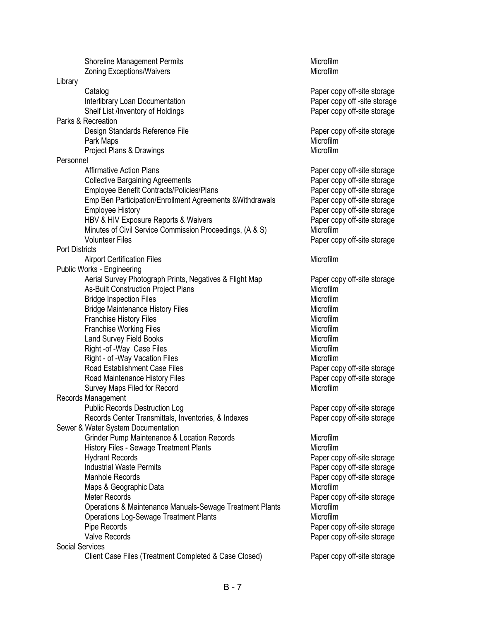|                       | <b>Shoreline Management Permits</b>                       | Microfilm                    |
|-----------------------|-----------------------------------------------------------|------------------------------|
|                       | <b>Zoning Exceptions/Waivers</b>                          | Microfilm                    |
| Library               |                                                           |                              |
|                       | Catalog                                                   | Paper copy off-site storage  |
|                       | Interlibrary Loan Documentation                           | Paper copy off -site storage |
|                       | Shelf List /Inventory of Holdings                         | Paper copy off-site storage  |
|                       | Parks & Recreation                                        |                              |
|                       | Design Standards Reference File                           | Paper copy off-site storage  |
|                       | Park Maps                                                 | Microfilm                    |
|                       | Project Plans & Drawings                                  | Microfilm                    |
| Personnel             |                                                           |                              |
|                       | <b>Affirmative Action Plans</b>                           | Paper copy off-site storage  |
|                       | <b>Collective Bargaining Agreements</b>                   | Paper copy off-site storage  |
|                       | Employee Benefit Contracts/Policies/Plans                 | Paper copy off-site storage  |
|                       | Emp Ben Participation/Enrollment Agreements & Withdrawals | Paper copy off-site storage  |
|                       | <b>Employee History</b>                                   | Paper copy off-site storage  |
|                       | HBV & HIV Exposure Reports & Waivers                      | Paper copy off-site storage  |
|                       | Minutes of Civil Service Commission Proceedings, (A & S)  | Microfilm                    |
|                       | <b>Volunteer Files</b>                                    | Paper copy off-site storage  |
| <b>Port Districts</b> |                                                           |                              |
|                       | <b>Airport Certification Files</b>                        | Microfilm                    |
|                       | Public Works - Engineering                                |                              |
|                       | Aerial Survey Photograph Prints, Negatives & Flight Map   | Paper copy off-site storage  |
|                       | As-Built Construction Project Plans                       | Microfilm                    |
|                       | <b>Bridge Inspection Files</b>                            | Microfilm                    |
|                       | <b>Bridge Maintenance History Files</b>                   | Microfilm                    |
|                       | <b>Franchise History Files</b>                            | Microfilm                    |
|                       | <b>Franchise Working Files</b>                            | Microfilm                    |
|                       | <b>Land Survey Field Books</b>                            | Microfilm                    |
|                       | Right -of -Way Case Files                                 | Microfilm                    |
|                       | Right - of -Way Vacation Files                            | Microfilm                    |
|                       | Road Establishment Case Files                             | Paper copy off-site storage  |
|                       | Road Maintenance History Files                            | Paper copy off-site storage  |
|                       | Survey Maps Filed for Record                              | Microfilm                    |
|                       | Records Management                                        |                              |
|                       | <b>Public Records Destruction Log</b>                     | Paper copy off-site storage  |
|                       | Records Center Transmittals, Inventories, & Indexes       | Paper copy off-site storage  |
|                       | Sewer & Water System Documentation                        |                              |
|                       | Grinder Pump Maintenance & Location Records               | Microfilm                    |
|                       | <b>History Files - Sewage Treatment Plants</b>            | Microfilm                    |
|                       | <b>Hydrant Records</b>                                    | Paper copy off-site storage  |
|                       | <b>Industrial Waste Permits</b>                           | Paper copy off-site storage  |
|                       | <b>Manhole Records</b>                                    | Paper copy off-site storage  |
|                       | Maps & Geographic Data                                    | Microfilm                    |
|                       | <b>Meter Records</b>                                      | Paper copy off-site storage  |
|                       | Operations & Maintenance Manuals-Sewage Treatment Plants  | Microfilm                    |
|                       | <b>Operations Log-Sewage Treatment Plants</b>             | Microfilm                    |
|                       | Pipe Records                                              | Paper copy off-site storage  |
|                       | Valve Records                                             | Paper copy off-site storage  |
| Social Services       |                                                           |                              |
|                       | Client Case Files (Treatment Completed & Case Closed)     | Paper copy off-site storage  |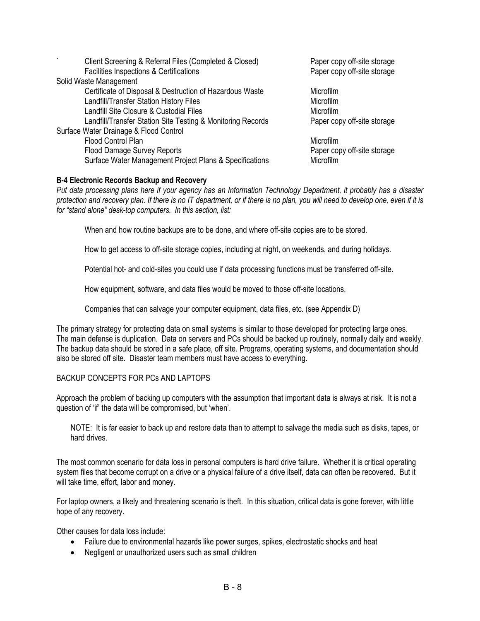| Client Screening & Referral Files (Completed & Closed)      | Paper copy off-site storage |
|-------------------------------------------------------------|-----------------------------|
| Facilities Inspections & Certifications                     | Paper copy off-site storage |
| Solid Waste Management                                      |                             |
| Certificate of Disposal & Destruction of Hazardous Waste    | Microfilm                   |
| Landfill/Transfer Station History Files                     | <b>Microfilm</b>            |
| Landfill Site Closure & Custodial Files                     | Microfilm                   |
| Landfill/Transfer Station Site Testing & Monitoring Records | Paper copy off-site storage |
| Surface Water Drainage & Flood Control                      |                             |
| Flood Control Plan                                          | Microfilm                   |
| Flood Damage Survey Reports                                 | Paper copy off-site storage |
| Surface Water Management Project Plans & Specifications     | Microfilm                   |
|                                                             |                             |

### **B-4 Electronic Records Backup and Recovery**

*Put data processing plans here if your agency has an Information Technology Department, it probably has a disaster protection and recovery plan. If there is no IT department, or if there is no plan, you will need to develop one, even if it is for "stand alone" desk-top computers. In this section, list:*

When and how routine backups are to be done, and where off-site copies are to be stored.

How to get access to off-site storage copies, including at night, on weekends, and during holidays.

Potential hot- and cold-sites you could use if data processing functions must be transferred off-site.

How equipment, software, and data files would be moved to those off-site locations.

Companies that can salvage your computer equipment, data files, etc. (see Appendix D)

The primary strategy for protecting data on small systems is similar to those developed for protecting large ones. The main defense is duplication. Data on servers and PCs should be backed up routinely, normally daily and weekly. The backup data should be stored in a safe place, off site. Programs, operating systems, and documentation should also be stored off site. Disaster team members must have access to everything.

## BACKUP CONCEPTS FOR PCs AND LAPTOPS

Approach the problem of backing up computers with the assumption that important data is always at risk. It is not a question of 'if' the data will be compromised, but 'when'.

NOTE: It is far easier to back up and restore data than to attempt to salvage the media such as disks, tapes, or hard drives.

The most common scenario for data loss in personal computers is hard drive failure. Whether it is critical operating system files that become corrupt on a drive or a physical failure of a drive itself, data can often be recovered. But it will take time, effort, labor and money.

For laptop owners, a likely and threatening scenario is theft. In this situation, critical data is gone forever, with little hope of any recovery.

Other causes for data loss include:

- Failure due to environmental hazards like power surges, spikes, electrostatic shocks and heat
- Negligent or unauthorized users such as small children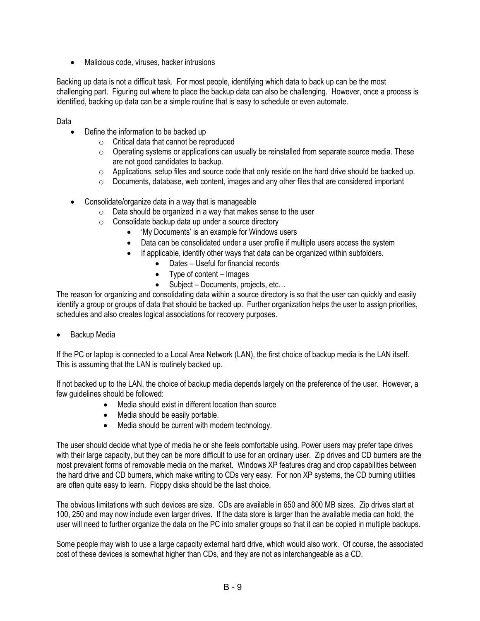• Malicious code, viruses, hacker intrusions

Backing up data is not a difficult task. For most people, identifying which data to back up can be the most challenging part. Figuring out where to place the backup data can also be challenging. However, once a process is identified, backing up data can be a simple routine that is easy to schedule or even automate.

Data

- Define the information to be backed up
	- o Critical data that cannot be reproduced
	- $\circ$  Operating systems or applications can usually be reinstalled from separate source media. These are not good candidates to backup.
	- $\circ$  Applications, setup files and source code that only reside on the hard drive should be backed up.
	- $\circ$  Documents, database, web content, images and any other files that are considered important
- Consolidate/organize data in a way that is manageable
	- $\circ$  Data should be organized in a way that makes sense to the user
	- o Consolidate backup data up under a source directory
		- 'My Documents' is an example for Windows users
		- Data can be consolidated under a user profile if multiple users access the system
		- If applicable, identify other ways that data can be organized within subfolders.
			- Dates Useful for financial records
			- Type of content Images
			- Subject Documents, projects, etc...

The reason for organizing and consolidating data within a source directory is so that the user can quickly and easily identify a group or groups of data that should be backed up. Further organization helps the user to assign priorities, schedules and also creates logical associations for recovery purposes.

Backup Media

If the PC or laptop is connected to a Local Area Network (LAN), the first choice of backup media is the LAN itself. This is assuming that the LAN is routinely backed up.

If not backed up to the LAN, the choice of backup media depends largely on the preference of the user. However, a few guidelines should be followed:

- Media should exist in different location than source
- Media should be easily portable.
- Media should be current with modern technology.

The user should decide what type of media he or she feels comfortable using. Power users may prefer tape drives with their large capacity, but they can be more difficult to use for an ordinary user. Zip drives and CD burners are the most prevalent forms of removable media on the market. Windows XP features drag and drop capabilities between the hard drive and CD burners, which make writing to CDs very easy. For non XP systems, the CD burning utilities are often quite easy to learn. Floppy disks should be the last choice.

The obvious limitations with such devices are size. CDs are available in 650 and 800 MB sizes. Zip drives start at 100, 250 and may now include even larger drives. If the data store is larger than the available media can hold, the user will need to further organize the data on the PC into smaller groups so that it can be copied in multiple backups.

Some people may wish to use a large capacity external hard drive, which would also work. Of course, the associated cost of these devices is somewhat higher than CDs, and they are not as interchangeable as a CD.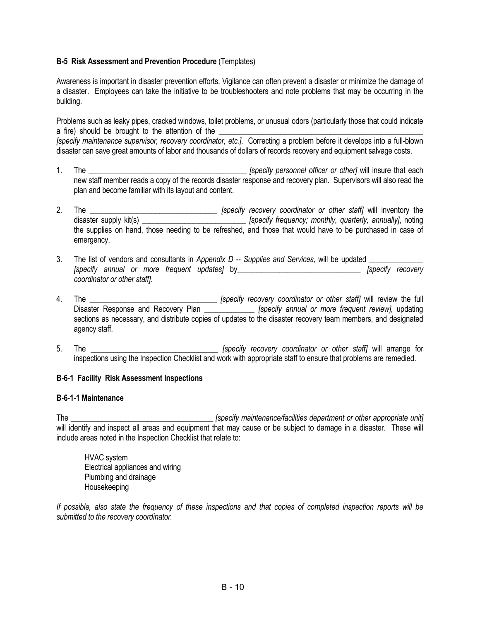### **B-5 Risk Assessment and Prevention Procedure** (Templates)

Awareness is important in disaster prevention efforts. Vigilance can often prevent a disaster or minimize the damage of a disaster. Employees can take the initiative to be troubleshooters and note problems that may be occurring in the building.

Problems such as leaky pipes, cracked windows, toilet problems, or unusual odors (particularly those that could indicate a fire) should be brought to the attention of the

*[specify maintenance supervisor, recovery coordinator, etc.]*. Correcting a problem before it develops into a full-blown disaster can save great amounts of labor and thousands of dollars of records recovery and equipment salvage costs.

- 1. The \_\_\_\_\_\_\_\_\_\_\_\_\_\_\_\_\_\_\_\_\_\_\_\_\_\_\_\_\_\_\_\_\_\_\_\_\_\_\_\_\_ *[specify personnel officer or other]* will insure that each new staff member reads a copy of the records disaster response and recovery plan. Supervisors will also read the plan and become familiar with its layout and content.
- 2. The \_\_\_\_\_\_\_\_\_\_\_\_\_\_\_\_\_\_\_\_\_\_\_\_\_\_\_\_\_\_\_\_\_ *[specify recovery coordinator or other staff]* will inventory the disaster supply kit(s) \_\_\_\_\_\_\_\_\_\_\_\_\_\_\_\_\_\_\_\_\_\_\_\_\_\_\_ *[specify frequency; monthly, quarterly, annually]*, noting the supplies on hand, those needing to be refreshed, and those that would have to be purchased in case of emergency.
- 3. The list of vendors and consultants in *Appendix D -- Supplies and Services,* will be updated \_\_\_\_\_\_\_\_\_\_\_\_\_\_ *[specify annual or more frequent updates]* by\_\_\_\_\_\_\_\_\_\_\_\_\_\_\_\_\_\_\_\_\_\_\_\_\_\_\_\_\_\_\_\_ *[specify recovery coordinator or other staff]*.
- 4. The \_\_\_\_\_\_\_\_\_\_\_\_\_\_\_\_\_\_\_\_\_\_\_\_\_\_\_\_\_\_\_\_\_ *[specify recovery coordinator or other staff]* will review the full Disaster Response and Recovery Plan \_\_\_\_\_\_\_\_\_\_\_\_\_ *[specify annual or more frequent review]*, updating sections as necessary, and distribute copies of updates to the disaster recovery team members, and designated agency staff.
- 5. The \_\_\_\_\_\_\_\_\_\_\_\_\_\_\_\_\_\_\_\_\_\_\_\_\_\_\_\_\_\_\_\_\_ *[specify recovery coordinator or other staff]* will arrange for inspections using the Inspection Checklist and work with appropriate staff to ensure that problems are remedied.

### **B-6-1 Facility Risk Assessment Inspections**

### **B-6-1-1 Maintenance**

The \_\_\_\_\_\_\_\_\_\_\_\_\_\_\_\_\_\_\_\_\_\_\_\_\_\_\_\_\_\_\_\_\_\_\_\_\_ *[specify maintenance/facilities department or other appropriate unit]* will identify and inspect all areas and equipment that may cause or be subject to damage in a disaster. These will include areas noted in the Inspection Checklist that relate to:

 HVAC system Electrical appliances and wiring Plumbing and drainage Housekeeping

*If possible, also state the frequency of these inspections and that copies of completed inspection reports will be submitted to the recovery coordinator.*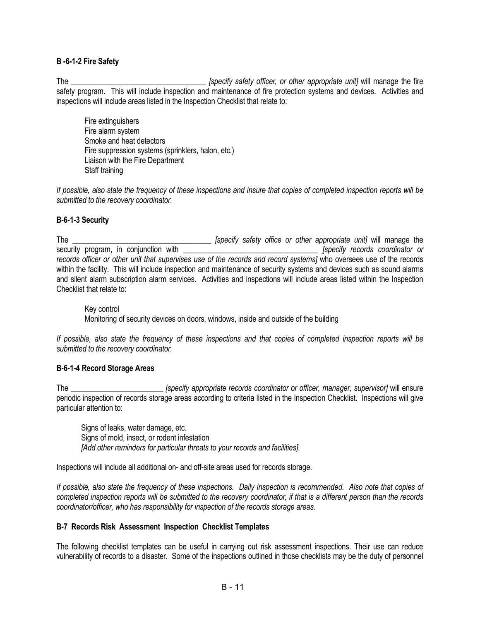### **B -6-1-2 Fire Safety**

The \_\_\_\_\_\_\_\_\_\_\_\_\_\_\_\_\_\_\_\_\_\_\_\_\_\_\_\_\_\_\_\_\_\_\_ *[specify safety officer, or other appropriate unit]* will manage the fire safety program. This will include inspection and maintenance of fire protection systems and devices. Activities and inspections will include areas listed in the Inspection Checklist that relate to:

 Fire extinguishers Fire alarm system Smoke and heat detectors Fire suppression systems (sprinklers, halon, etc.) Liaison with the Fire Department Staff training

*If possible, also state the frequency of these inspections and insure that copies of completed inspection reports will be submitted to the recovery coordinator.*

### **B-6-1-3 Security**

The \_\_\_\_\_\_\_\_\_\_\_\_\_\_\_\_\_\_\_\_\_\_\_\_\_\_\_\_\_\_\_\_\_\_\_\_ *[specify safety office or other appropriate unit]* will manage the security program, in conjunction with \_\_\_\_\_\_\_\_\_\_\_\_\_\_\_\_\_\_\_\_\_\_\_\_\_\_\_\_\_\_\_\_\_\_\_ *[specify records coordinator or*  records officer or other unit that supervises use of the records and record systems] who oversees use of the records within the facility. This will include inspection and maintenance of security systems and devices such as sound alarms and silent alarm subscription alarm services. Activities and inspections will include areas listed within the Inspection Checklist that relate to:

 Key control Monitoring of security devices on doors, windows, inside and outside of the building

*If possible, also state the frequency of these inspections and that copies of completed inspection reports will be submitted to the recovery coordinator.*

### **B-6-1-4 Record Storage Areas**

The \_\_\_\_\_\_\_\_\_\_\_\_\_\_\_\_\_\_\_\_\_\_\_\_ *[specify appropriate records coordinator or officer, manager, supervisor]* will ensure periodic inspection of records storage areas according to criteria listed in the Inspection Checklist. Inspections will give particular attention to:

 Signs of leaks, water damage, etc. Signs of mold, insect, or rodent infestation *[Add other reminders for particular threats to your records and facilities]*.

Inspections will include all additional on- and off-site areas used for records storage.

*If possible, also state the frequency of these inspections. Daily inspection is recommended. Also note that copies of completed inspection reports will be submitted to the recovery coordinator, if that is a different person than the records coordinator/officer, who has responsibility for inspection of the records storage areas.* 

### **B-7 Records Risk Assessment Inspection Checklist Templates**

The following checklist templates can be useful in carrying out risk assessment inspections. Their use can reduce vulnerability of records to a disaster. Some of the inspections outlined in those checklists may be the duty of personnel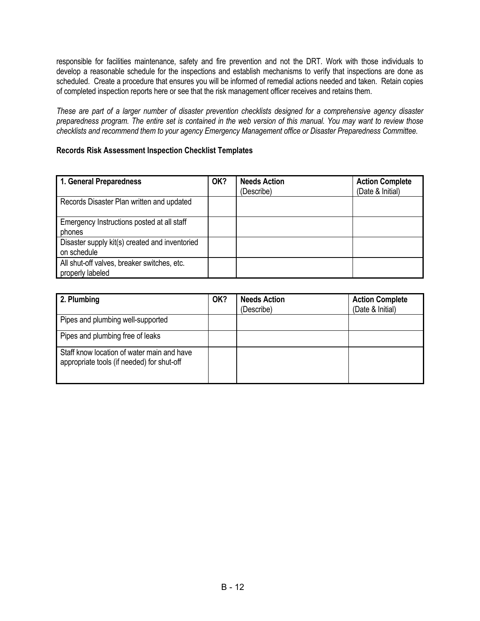responsible for facilities maintenance, safety and fire prevention and not the DRT. Work with those individuals to develop a reasonable schedule for the inspections and establish mechanisms to verify that inspections are done as scheduled. Create a procedure that ensures you will be informed of remedial actions needed and taken. Retain copies of completed inspection reports here or see that the risk management officer receives and retains them.

*These are part of a larger number of disaster prevention checklists designed for a comprehensive agency disaster preparedness program. The entire set is contained in the web version of this manual. You may want to review those checklists and recommend them to your agency Emergency Management office or Disaster Preparedness Committee*.

## **Records Risk Assessment Inspection Checklist Templates**

| 1. General Preparedness                                         | OK? | <b>Needs Action</b><br>(Describe) | <b>Action Complete</b><br>(Date & Initial) |
|-----------------------------------------------------------------|-----|-----------------------------------|--------------------------------------------|
| Records Disaster Plan written and updated                       |     |                                   |                                            |
| Emergency Instructions posted at all staff<br>phones            |     |                                   |                                            |
| Disaster supply kit(s) created and inventoried<br>on schedule   |     |                                   |                                            |
| All shut-off valves, breaker switches, etc.<br>properly labeled |     |                                   |                                            |

| 2. Plumbing                                                                              | OK? | <b>Needs Action</b><br>(Describe) | <b>Action Complete</b><br>(Date & Initial) |
|------------------------------------------------------------------------------------------|-----|-----------------------------------|--------------------------------------------|
| Pipes and plumbing well-supported                                                        |     |                                   |                                            |
| Pipes and plumbing free of leaks                                                         |     |                                   |                                            |
| Staff know location of water main and have<br>appropriate tools (if needed) for shut-off |     |                                   |                                            |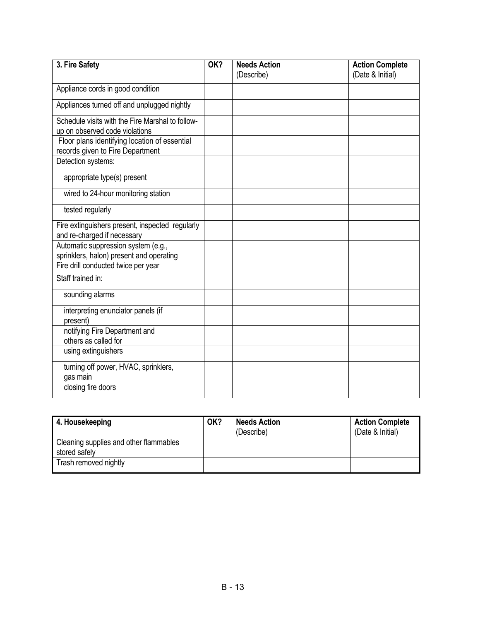| 3. Fire Safety                                                                                                         | OK? | <b>Needs Action</b><br>(Describe) | <b>Action Complete</b><br>(Date & Initial) |
|------------------------------------------------------------------------------------------------------------------------|-----|-----------------------------------|--------------------------------------------|
| Appliance cords in good condition                                                                                      |     |                                   |                                            |
| Appliances turned off and unplugged nightly                                                                            |     |                                   |                                            |
| Schedule visits with the Fire Marshal to follow-<br>up on observed code violations                                     |     |                                   |                                            |
| Floor plans identifying location of essential<br>records given to Fire Department                                      |     |                                   |                                            |
| Detection systems:                                                                                                     |     |                                   |                                            |
| appropriate type(s) present                                                                                            |     |                                   |                                            |
| wired to 24-hour monitoring station                                                                                    |     |                                   |                                            |
| tested regularly                                                                                                       |     |                                   |                                            |
| Fire extinguishers present, inspected regularly<br>and re-charged if necessary                                         |     |                                   |                                            |
| Automatic suppression system (e.g.,<br>sprinklers, halon) present and operating<br>Fire drill conducted twice per year |     |                                   |                                            |
| Staff trained in:                                                                                                      |     |                                   |                                            |
| sounding alarms                                                                                                        |     |                                   |                                            |
| interpreting enunciator panels (if<br>present)                                                                         |     |                                   |                                            |
| notifying Fire Department and<br>others as called for                                                                  |     |                                   |                                            |
| using extinguishers                                                                                                    |     |                                   |                                            |
| turning off power, HVAC, sprinklers,<br>gas main                                                                       |     |                                   |                                            |
| closing fire doors                                                                                                     |     |                                   |                                            |

| 4. Housekeeping                                         | OK? | <b>Needs Action</b><br>(Describe) | <b>Action Complete</b><br>(Date & Initial) |
|---------------------------------------------------------|-----|-----------------------------------|--------------------------------------------|
| Cleaning supplies and other flammables<br>stored safely |     |                                   |                                            |
| Trash removed nightly                                   |     |                                   |                                            |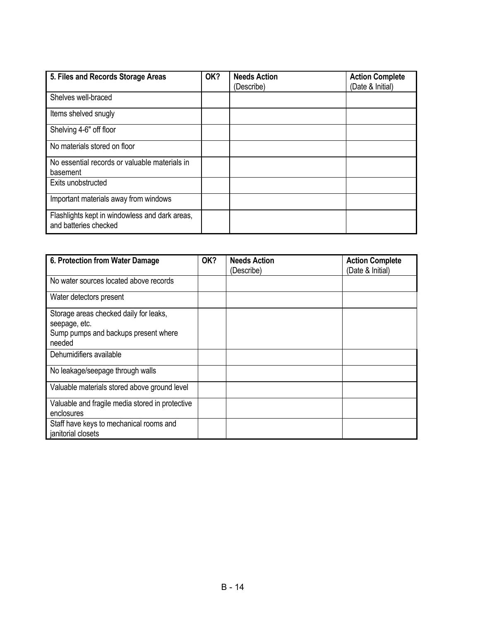| 5. Files and Records Storage Areas                                      | OK? | <b>Needs Action</b><br>(Describe) | <b>Action Complete</b><br>(Date & Initial) |
|-------------------------------------------------------------------------|-----|-----------------------------------|--------------------------------------------|
| Shelves well-braced                                                     |     |                                   |                                            |
| Items shelved snugly                                                    |     |                                   |                                            |
| Shelving 4-6" off floor                                                 |     |                                   |                                            |
| No materials stored on floor                                            |     |                                   |                                            |
| No essential records or valuable materials in<br>basement               |     |                                   |                                            |
| Exits unobstructed                                                      |     |                                   |                                            |
| Important materials away from windows                                   |     |                                   |                                            |
| Flashlights kept in windowless and dark areas,<br>and batteries checked |     |                                   |                                            |

| 6. Protection from Water Damage                 | OK? | <b>Needs Action</b> | <b>Action Complete</b> |
|-------------------------------------------------|-----|---------------------|------------------------|
|                                                 |     | (Describe)          | (Date & Initial)       |
| No water sources located above records          |     |                     |                        |
| Water detectors present                         |     |                     |                        |
| Storage areas checked daily for leaks,          |     |                     |                        |
| seepage, etc.                                   |     |                     |                        |
| Sump pumps and backups present where            |     |                     |                        |
| needed                                          |     |                     |                        |
|                                                 |     |                     |                        |
| Dehumidifiers available                         |     |                     |                        |
| No leakage/seepage through walls                |     |                     |                        |
| Valuable materials stored above ground level    |     |                     |                        |
| Valuable and fragile media stored in protective |     |                     |                        |
| enclosures                                      |     |                     |                        |
| Staff have keys to mechanical rooms and         |     |                     |                        |
| janitorial closets                              |     |                     |                        |